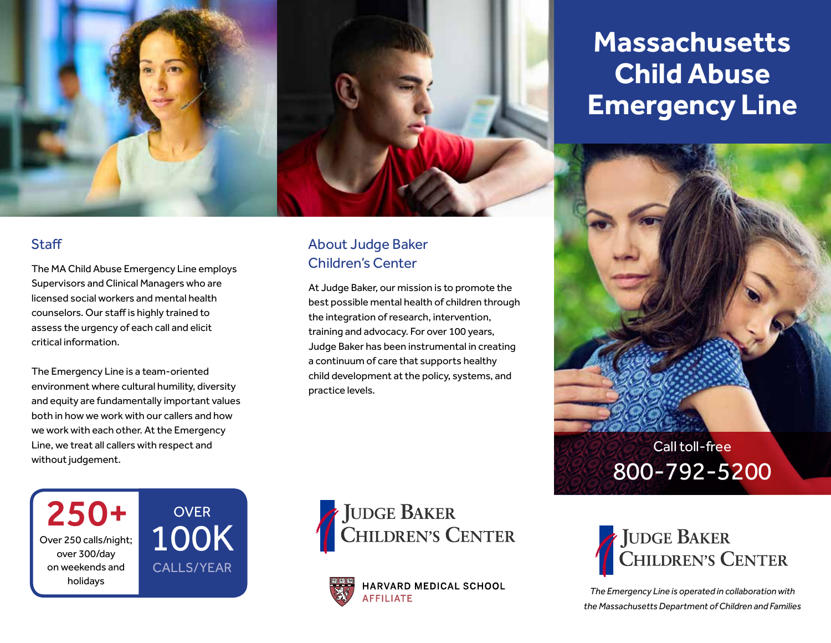

#### **Staff**

The MA Child Abuse Emergency Line employs Supervisors and Clinical Managers who are licensed social workers and mental health counselors. Our staff is highly trained to assess the urgency of each call and elicit critical information.

The Emergency Line is a team-oriented environment where cultural humility, diversity and equity are fundamentally important values both in how we work with our callers and how we work with each other. At the Emergency Line, we treat all callers with respect and without judgement.

**OVER** 

100K

CALLS/YEAR

250+

Over 250 calls/night; over 300/day on weekends and holidays

#### About Judge Baker Children's Center

At Judge Baker, our mission is to promote the best possible mental health of children through the integration of research, intervention, training and advocacy. For over 100 years, Judge Baker has been instrumental in creating a continuum of care that supports healthy child development at the policy, systems, and practice levels.





HARVARD MEDICAL SCHOOL **AFFILIATE** 

## **Massachusetts Child Abuse Emergency Line**





*The Emergency Line is operated in collaboration with the Massachusetts Department of Children and Families*